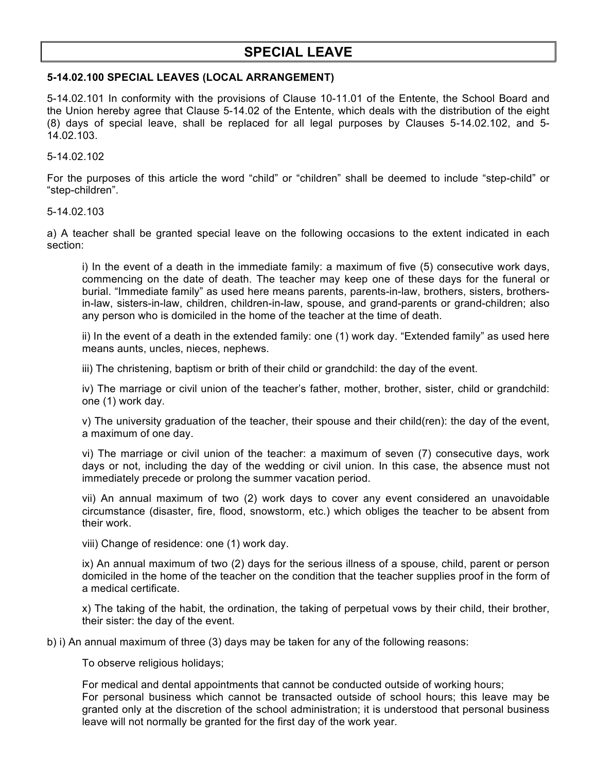## **SPECIAL LEAVE**

## **5-14.02.100 SPECIAL LEAVES (LOCAL ARRANGEMENT)**

5-14.02.101 In conformity with the provisions of Clause 10-11.01 of the Entente, the School Board and the Union hereby agree that Clause 5-14.02 of the Entente, which deals with the distribution of the eight (8) days of special leave, shall be replaced for all legal purposes by Clauses 5-14.02.102, and 5- 14.02.103.

5-14.02.102

For the purposes of this article the word "child" or "children" shall be deemed to include "step-child" or "step-children".

5-14.02.103

a) A teacher shall be granted special leave on the following occasions to the extent indicated in each section:

i) In the event of a death in the immediate family: a maximum of five (5) consecutive work days, commencing on the date of death. The teacher may keep one of these days for the funeral or burial. "Immediate family" as used here means parents, parents-in-law, brothers, sisters, brothersin-law, sisters-in-law, children, children-in-law, spouse, and grand-parents or grand-children; also any person who is domiciled in the home of the teacher at the time of death.

ii) In the event of a death in the extended family: one (1) work day. "Extended family" as used here means aunts, uncles, nieces, nephews.

iii) The christening, baptism or brith of their child or grandchild: the day of the event.

iv) The marriage or civil union of the teacher's father, mother, brother, sister, child or grandchild: one (1) work day.

v) The university graduation of the teacher, their spouse and their child(ren): the day of the event, a maximum of one day.

vi) The marriage or civil union of the teacher: a maximum of seven (7) consecutive days, work days or not, including the day of the wedding or civil union. In this case, the absence must not immediately precede or prolong the summer vacation period.

vii) An annual maximum of two (2) work days to cover any event considered an unavoidable circumstance (disaster, fire, flood, snowstorm, etc.) which obliges the teacher to be absent from their work.

viii) Change of residence: one (1) work day.

ix) An annual maximum of two (2) days for the serious illness of a spouse, child, parent or person domiciled in the home of the teacher on the condition that the teacher supplies proof in the form of a medical certificate.

x) The taking of the habit, the ordination, the taking of perpetual vows by their child, their brother, their sister: the day of the event.

b) i) An annual maximum of three (3) days may be taken for any of the following reasons:

To observe religious holidays;

For medical and dental appointments that cannot be conducted outside of working hours; For personal business which cannot be transacted outside of school hours; this leave may be granted only at the discretion of the school administration; it is understood that personal business leave will not normally be granted for the first day of the work year.